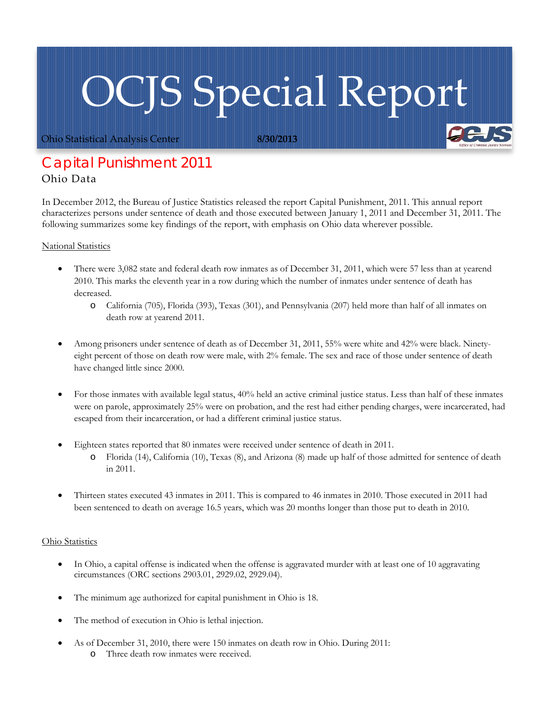## OCJS Special Report

Ohio Statistical Analysis Center **8/30/2013**

## *Capital Punishment 2011* Ohio Data

In December 2012, the Bureau of Justice Statistics released the report Capital Punishment, 2011. This annual report characterizes persons under sentence of death and those executed between January 1, 2011 and December 31, 2011. The following summarizes some key findings of the report, with emphasis on Ohio data wherever possible.

## National Statistics

- There were 3,082 state and federal death row inmates as of December 31, 2011, which were 57 less than at yearend 2010. This marks the eleventh year in a row during which the number of inmates under sentence of death has decreased.
	- o California (705), Florida (393), Texas (301), and Pennsylvania (207) held more than half of all inmates on death row at yearend 2011.
- Among prisoners under sentence of death as of December 31, 2011, 55% were white and 42% were black. Ninetyeight percent of those on death row were male, with 2% female. The sex and race of those under sentence of death have changed little since 2000.
- For those inmates with available legal status, 40% held an active criminal justice status. Less than half of these inmates were on parole, approximately 25% were on probation, and the rest had either pending charges, were incarcerated, had escaped from their incarceration, or had a different criminal justice status.
- Eighteen states reported that 80 inmates were received under sentence of death in 2011.
	- o Florida (14), California (10), Texas (8), and Arizona (8) made up half of those admitted for sentence of death in 2011.
- Thirteen states executed 43 inmates in 2011. This is compared to 46 inmates in 2010. Those executed in 2011 had been sentenced to death on average 16.5 years, which was 20 months longer than those put to death in 2010.

## Ohio Statistics

- In Ohio, a capital offense is indicated when the offense is aggravated murder with at least one of 10 aggravating circumstances (ORC sections 2903.01, 2929.02, 2929.04).
- The minimum age authorized for capital punishment in Ohio is 18.
- The method of execution in Ohio is lethal injection.
- As of December 31, 2010, there were 150 inmates on death row in Ohio. During 2011: o Three death row inmates were received.